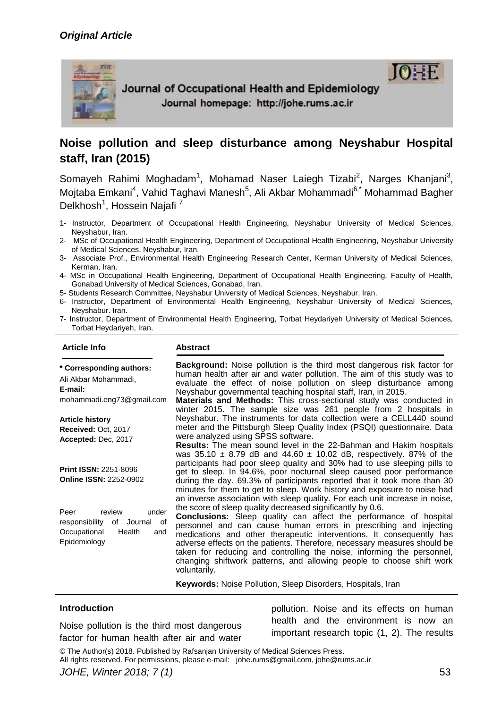# *Original Article*



Journal of Occupational Health and Epidemiology Journal homepage: http://johe.rums.ac.ir

# **Noise pollution and sleep disturbance among Neyshabur Hospital staff, Iran (2015)**

Somayeh Rahimi Moghadam<sup>1</sup>, Mohamad Naser Laiegh Tizabi<sup>2</sup>, Narges Khanjani<sup>3</sup>, Mojtaba Emkani<sup>4</sup>, Vahid Taghavi Manesh<sup>5</sup>, Ali Akbar Mohammadi<sup>6,\*</sup> Mohammad Bagher Delkhosh<sup>1</sup>, Hossein Najafi<sup>7</sup>

- 1- Instructor, Department of Occupational Health Engineering, Neyshabur University of Medical Sciences, Neyshabur, Iran.
- 2- MSc of Occupational Health Engineering, Department of Occupational Health Engineering, Neyshabur University of Medical Sciences, Neyshabur, Iran.
- 3- Associate Prof., Environmental Health Engineering Research Center, Kerman University of Medical Sciences, Kerman, Iran.
- 4- MSc in Occupational Health Engineering, Department of Occupational Health Engineering, Faculty of Health, Gonabad University of Medical Sciences, Gonabad, Iran.
- 5- Students Research Committee, Neyshabur University of Medical Sciences, Neyshabur, Iran.
- 6- Instructor, Department of Environmental Health Engineering, Neyshabur University of Medical Sciences, Neyshabur. Iran.
- 7- Instructor, Department of Environmental Health Engineering, Torbat Heydariyeh University of Medical Sciences, Torbat Heydariyeh, Iran.

#### **Article Info Abstract**

**\* Corresponding authors:** Ali Akbar Mohammadi, **E-mail:**  mohammadi.eng73@gmail.com **Article history Received:** Oct, 2017 **Accepted:** Dec, 2017

**Print ISSN:** 2251-8096

**Online ISSN:** 2252-0902

Peer review under responsibility of Journal of Occupational Health and Epidemiology

**Background:** Noise pollution is the third most dangerous risk factor for human health after air and water pollution. The aim of this study was to evaluate the effect of noise pollution on sleep disturbance among Neyshabur governmental teaching hospital staff, Iran, in 2015.

**Materials and Methods:** This cross-sectional study was conducted in winter 2015. The sample size was 261 people from 2 hospitals in Neyshabur. The instruments for data collection were a CELL440 sound meter and the Pittsburgh Sleep Quality Index (PSQI) questionnaire. Data were analyzed using SPSS software.

**Results:** The mean sound level in the 22-Bahman and Hakim hospitals was 35.10  $\pm$  8.79 dB and 44.60  $\pm$  10.02 dB, respectively. 87% of the participants had poor sleep quality and 30% had to use sleeping pills to get to sleep. In 94.6%, poor nocturnal sleep caused poor performance during the day. 69.3% of participants reported that it took more than 30 minutes for them to get to sleep. Work history and exposure to noise had an inverse association with sleep quality. For each unit increase in noise, the score of sleep quality decreased significantly by 0.6.

**Conclusions:** Sleep quality can affect the performance of hospital personnel and can cause human errors in prescribing and injecting medications and other therapeutic interventions. It consequently has adverse effects on the patients. Therefore, necessary measures should be taken for reducing and controlling the noise, informing the personnel, changing shiftwork patterns, and allowing people to choose shift work voluntarily.

**Keywords:** Noise Pollution, Sleep Disorders, Hospitals, Iran

#### **Introduction**

Noise pollution is the third most dangerous factor for human health after air and water

pollution. Noise and its effects on human health and the environment is now an important research topic (1, 2). The results

**TO:** 

© The Author(s) 2018. Published by Rafsanjan University of Medical Sciences Press. All rights reserved. For permissions, please e-mail: johe.rums@gmail.com, johe@rums.ac.ir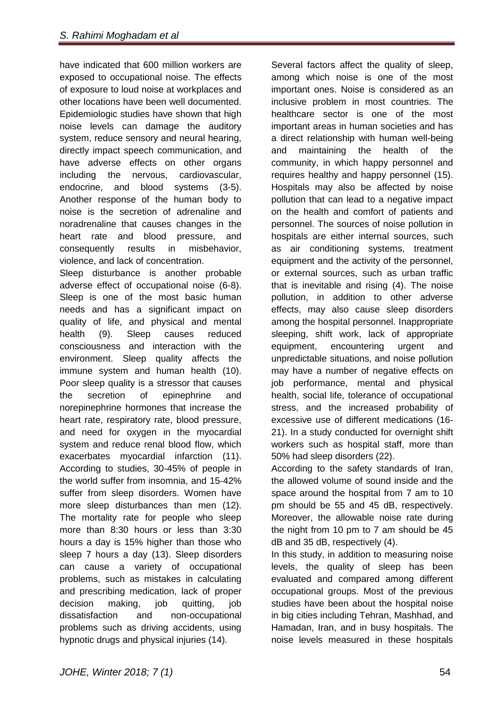have indicated that 600 million workers are exposed to occupational noise. The effects of exposure to loud noise at workplaces and other locations have been well documented. Epidemiologic studies have shown that high noise levels can damage the auditory system, reduce sensory and neural hearing, directly impact speech communication, and have adverse effects on other organs including the nervous, cardiovascular, endocrine, and blood systems (3-5). Another response of the human body to noise is the secretion of adrenaline and noradrenaline that causes changes in the heart rate and blood pressure, and consequently results in misbehavior, violence, and lack of concentration.

Sleep disturbance is another probable adverse effect of occupational noise (6-8). Sleep is one of the most basic human needs and has a significant impact on quality of life, and physical and mental health (9). Sleep causes reduced consciousness and interaction with the environment. Sleep quality affects the immune system and human health (10). Poor sleep quality is a stressor that causes the secretion of epinephrine and norepinephrine hormones that increase the heart rate, respiratory rate, blood pressure, and need for oxygen in the myocardial system and reduce renal blood flow, which exacerbates myocardial infarction (11). According to studies, 30-45% of people in the world suffer from insomnia, and 15-42% suffer from sleep disorders. Women have more sleep disturbances than men (12). The mortality rate for people who sleep more than 8:30 hours or less than 3:30 hours a day is 15% higher than those who sleep 7 hours a day (13). Sleep disorders can cause a variety of occupational problems, such as mistakes in calculating and prescribing medication, lack of proper decision making, job quitting, job dissatisfaction and non-occupational problems such as driving accidents, using hypnotic drugs and physical injuries (14).

Several factors affect the quality of sleep, among which noise is one of the most important ones. Noise is considered as an inclusive problem in most countries. The healthcare sector is one of the most important areas in human societies and has a direct relationship with human well-being and maintaining the health of the community, in which happy personnel and requires healthy and happy personnel (15). Hospitals may also be affected by noise pollution that can lead to a negative impact on the health and comfort of patients and personnel. The sources of noise pollution in hospitals are either internal sources, such as air conditioning systems, treatment equipment and the activity of the personnel, or external sources, such as urban traffic that is inevitable and rising (4). The noise pollution, in addition to other adverse effects, may also cause sleep disorders among the hospital personnel. Inappropriate sleeping, shift work, lack of appropriate equipment, encountering urgent and unpredictable situations, and noise pollution may have a number of negative effects on job performance, mental and physical health, social life, tolerance of occupational stress, and the increased probability of excessive use of different medications (16- 21). In a study conducted for overnight shift workers such as hospital staff, more than 50% had sleep disorders (22).

According to the safety standards of Iran, the allowed volume of sound inside and the space around the hospital from 7 am to 10 pm should be 55 and 45 dB, respectively. Moreover, the allowable noise rate during the night from 10 pm to 7 am should be 45 dB and 35 dB, respectively (4).

In this study, in addition to measuring noise levels, the quality of sleep has been evaluated and compared among different occupational groups. Most of the previous studies have been about the hospital noise in big cities including Tehran, Mashhad, and Hamadan, Iran, and in busy hospitals. The noise levels measured in these hospitals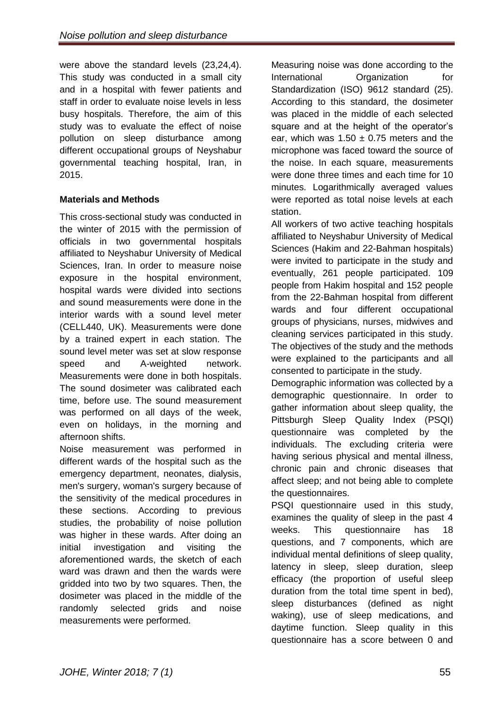were above the standard levels (23,24,4). This study was conducted in a small city and in a hospital with fewer patients and staff in order to evaluate noise levels in less busy hospitals. Therefore, the aim of this study was to evaluate the effect of noise pollution on sleep disturbance among different occupational groups of Neyshabur governmental teaching hospital, Iran, in 2015.

# **Materials and Methods**

This cross-sectional study was conducted in the winter of 2015 with the permission of officials in two governmental hospitals affiliated to Neyshabur University of Medical Sciences, Iran. In order to measure noise exposure in the hospital environment, hospital wards were divided into sections and sound measurements were done in the interior wards with a sound level meter (CELL440, UK). Measurements were done by a trained expert in each station. The sound level meter was set at slow response speed and A-weighted network. Measurements were done in both hospitals. The sound dosimeter was calibrated each time, before use. The sound measurement was performed on all days of the week, even on holidays, in the morning and afternoon shifts.

Noise measurement was performed in different wards of the hospital such as the emergency department, neonates, dialysis, men's surgery, woman's surgery because of the sensitivity of the medical procedures in these sections. According to previous studies, the probability of noise pollution was higher in these wards. After doing an initial investigation and visiting the aforementioned wards, the sketch of each ward was drawn and then the wards were gridded into two by two squares. Then, the dosimeter was placed in the middle of the randomly selected grids and noise measurements were performed.

Measuring noise was done according to the International Organization for Standardization (ISO) 9612 standard (25). According to this standard, the dosimeter was placed in the middle of each selected square and at the height of the operator's ear, which was  $1.50 \pm 0.75$  meters and the microphone was faced toward the source of the noise. In each square, measurements were done three times and each time for 10 minutes. Logarithmically averaged values were reported as total noise levels at each station.

All workers of two active teaching hospitals affiliated to Neyshabur University of Medical Sciences (Hakim and 22-Bahman hospitals) were invited to participate in the study and eventually, 261 people participated. 109 people from Hakim hospital and 152 people from the 22-Bahman hospital from different wards and four different occupational groups of physicians, nurses, midwives and cleaning services participated in this study. The objectives of the study and the methods were explained to the participants and all consented to participate in the study.

Demographic information was collected by a demographic questionnaire. In order to gather information about sleep quality, the Pittsburgh Sleep Quality Index (PSQI) questionnaire was completed by the individuals. The excluding criteria were having serious physical and mental illness, chronic pain and chronic diseases that affect sleep; and not being able to complete the questionnaires.

PSQI questionnaire used in this study, examines the quality of sleep in the past 4 weeks. This questionnaire has 18 questions, and 7 components, which are individual mental definitions of sleep quality, latency in sleep, sleep duration, sleep efficacy (the proportion of useful sleep duration from the total time spent in bed), sleep disturbances (defined as night waking), use of sleep medications, and daytime function. Sleep quality in this questionnaire has a score between 0 and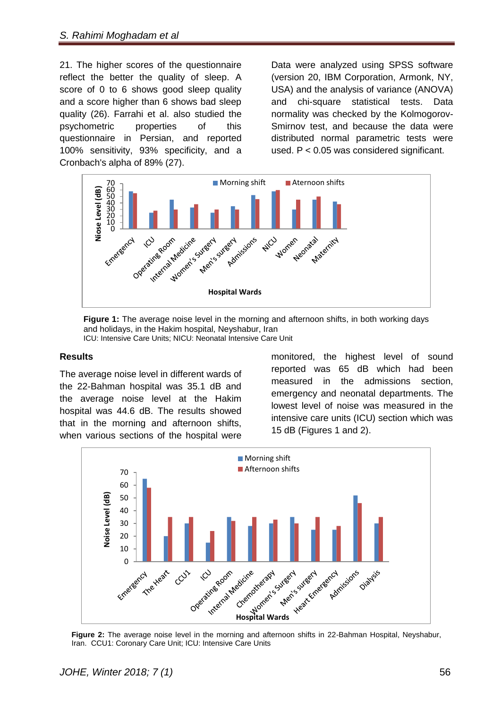21. The higher scores of the questionnaire reflect the better the quality of sleep. A score of 0 to 6 shows good sleep quality and a score higher than 6 shows bad sleep quality (26). Farrahi et al. also studied the psychometric properties of this questionnaire in Persian, and reported 100% sensitivity, 93% specificity, and a Cronbach's alpha of 89% (27).

Data were analyzed using SPSS software (version 20, IBM Corporation, Armonk, NY, USA) and the analysis of variance (ANOVA) and chi-square statistical tests. Data normality was checked by the Kolmogorov-Smirnov test, and because the data were distributed normal parametric tests were used. P < 0.05 was considered significant.



**Figure 1:** The average noise level in the morning and afternoon shifts, in both working days and holidays, in the Hakim hospital, Neyshabur, Iran ICU: Intensive Care Units; NICU: Neonatal Intensive Care Unit

#### **Results**

The average noise level in different wards of the 22-Bahman hospital was 35.1 dB and the average noise level at the Hakim hospital was 44.6 dB. The results showed that in the morning and afternoon shifts, when various sections of the hospital were

monitored, the highest level of sound reported was 65 dB which had been measured in the admissions section, emergency and neonatal departments. The lowest level of noise was measured in the intensive care units (ICU) section which was 15 dB (Figures 1 and 2).



**Figure 2:** The average noise level in the morning and afternoon shifts in 22-Bahman Hospital, Neyshabur, Iran. CCU1: Coronary Care Unit; ICU: Intensive Care Units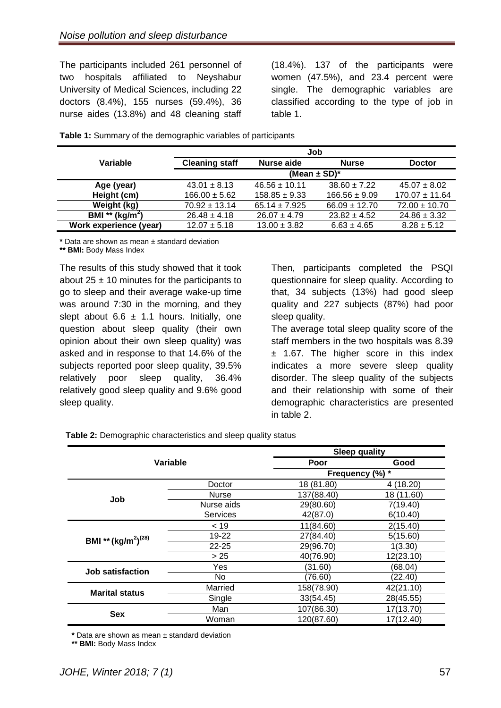The participants included 261 personnel of two hospitals affiliated to Neyshabur University of Medical Sciences, including 22 doctors (8.4%), 155 nurses (59.4%), 36 nurse aides (13.8%) and 48 cleaning staff

 $(18.4\%)$ . 137 of the participants were women (47.5%), and 23.4 percent were single. The demographic variables are classified according to the type of job in table 1.

|                                    | Job                          |                   |                   |                    |  |
|------------------------------------|------------------------------|-------------------|-------------------|--------------------|--|
| Variable                           | <b>Cleaning staff</b>        | Nurse aide        | <b>Nurse</b>      | <b>Doctor</b>      |  |
|                                    | (Mean $\pm$ SD) <sup>*</sup> |                   |                   |                    |  |
| Age (year)                         | $43.01 \pm 8.13$             | $46.56 \pm 10.11$ | $38.60 \pm 7.22$  | $45.07 \pm 8.02$   |  |
| Height (cm)                        | $166.00 \pm 5.62$            | $158.85 \pm 9.33$ | $166.56 \pm 9.09$ | $170.07 \pm 11.64$ |  |
| Weight (kg)                        | $70.92 \pm 13.14$            | $65.14 \pm 7.925$ | $66.09 \pm 12.70$ | $72.00 \pm 10.70$  |  |
| <b>BMI</b> ** (kg/m <sup>2</sup> ) | $26.48 \pm 4.18$             | $26.07 \pm 4.79$  | $23.82 \pm 4.52$  | $24.86 \pm 3.32$   |  |
| Work experience (year)             | $12.07 \pm 5.18$             | $13.00 \pm 3.82$  | $6.63 \pm 4.65$   | $8.28 \pm 5.12$    |  |

**Table 1:** Summary of the demographic variables of participants

**\*** Data are shown as mean ± standard deviation

**\*\* BMI:** Body Mass Index

The results of this study showed that it took about  $25 \pm 10$  minutes for the participants to go to sleep and their average wake-up time was around 7:30 in the morning, and they slept about 6.6  $\pm$  1.1 hours. Initially, one question about sleep quality (their own opinion about their own sleep quality) was asked and in response to that 14.6% of the subjects reported poor sleep quality, 39.5% relatively poor sleep quality, 36.4% relatively good sleep quality and 9.6% good sleep quality.

Then, participants completed the PSQI questionnaire for sleep quality. According to that, 34 subjects (13%) had good sleep quality and 227 subjects (87%) had poor sleep quality.

The average total sleep quality score of the staff members in the two hospitals was 8.39 ± 1.67. The higher score in this index indicates a more severe sleep quality disorder. The sleep quality of the subjects and their relationship with some of their demographic characteristics are presented in table 2.

| Variable                 |                 | <b>Sleep quality</b> |            |  |
|--------------------------|-----------------|----------------------|------------|--|
|                          |                 | Poor                 | Good       |  |
|                          |                 | Frequency (%) *      |            |  |
|                          | Doctor          | 18 (81.80)           | 4(18.20)   |  |
| Job                      | Nurse           | 137(88.40)           | 18 (11.60) |  |
|                          | Nurse aids      | 29(80.60)            | 7(19.40)   |  |
|                          | <b>Services</b> | 42(87.0)             | 6(10.40)   |  |
|                          | < 19            | 11(84.60)            | 2(15.40)   |  |
| BMI ** $(kg/m^2)^{(28)}$ | 19-22           | 27(84.40)            | 5(15.60)   |  |
|                          | $22 - 25$       | 29(96.70)            | 1(3.30)    |  |
|                          | > 25            | 40(76.90)            | 12(23.10)  |  |
| Job satisfaction         | Yes             | (31.60)              | (68.04)    |  |
|                          | No.             | (76.60)              | (22.40)    |  |
| <b>Marital status</b>    | Married         | 158(78.90)           | 42(21.10)  |  |
|                          | Single          | 33(54.45)            | 28(45.55)  |  |
| <b>Sex</b>               | Man             | 107(86.30)           | 17(13.70)  |  |
|                          | Woman           | 120(87.60)           | 17(12.40)  |  |

**Table 2:** Demographic characteristics and sleep quality status

**\*** Data are shown as mean ± standard deviation

**\*\* BMI:** Body Mass Index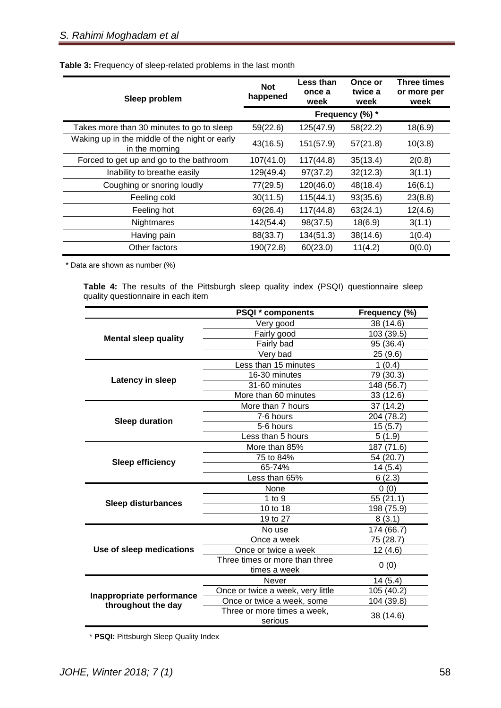| Sleep problem                                                   | <b>Not</b><br>happened | Less than<br>once a<br>week | Once or<br>twice a<br>week | <b>Three times</b><br>or more per<br>week |
|-----------------------------------------------------------------|------------------------|-----------------------------|----------------------------|-------------------------------------------|
|                                                                 | Frequency (%) *        |                             |                            |                                           |
| Takes more than 30 minutes to go to sleep                       | 59(22.6)               | 125(47.9)                   | 58(22.2)                   | 18(6.9)                                   |
| Waking up in the middle of the night or early<br>in the morning | 43(16.5)               | 151(57.9)                   | 57(21.8)                   | 10(3.8)                                   |
| Forced to get up and go to the bathroom                         | 107(41.0)              | 117(44.8)                   | 35(13.4)                   | 2(0.8)                                    |
| Inability to breathe easily                                     | 129(49.4)              | 97(37.2)                    | 32(12.3)                   | 3(1.1)                                    |
| Coughing or snoring loudly                                      | 77(29.5)               | 120(46.0)                   | 48(18.4)                   | 16(6.1)                                   |
| Feeling cold                                                    | 30(11.5)               | 115(44.1)                   | 93(35.6)                   | 23(8.8)                                   |
| Feeling hot                                                     | 69(26.4)               | 117(44.8)                   | 63(24.1)                   | 12(4.6)                                   |
| Nightmares                                                      | 142(54.4)              | 98(37.5)                    | 18(6.9)                    | 3(1.1)                                    |
| Having pain                                                     | 88(33.7)               | 134(51.3)                   | 38(14.6)                   | 1(0.4)                                    |
| Other factors                                                   | 190(72.8)              | 60(23.0)                    | 11(4.2)                    | 0(0.0)                                    |

\* Data are shown as number (%)

**Table 4:** The results of the Pittsburgh sleep quality index (PSQI) questionnaire sleep quality questionnaire in each item

|                                                 | <b>PSQI</b> * components          | Frequency (%) |  |
|-------------------------------------------------|-----------------------------------|---------------|--|
|                                                 | Very good                         | 38 (14.6)     |  |
| <b>Mental sleep quality</b>                     | Fairly good                       | 103 (39.5)    |  |
|                                                 | Fairly bad                        | 95 (36.4)     |  |
|                                                 | Very bad                          | 25(9.6)       |  |
|                                                 | Less than 15 minutes              | 1(0.4)        |  |
|                                                 | 16-30 minutes                     | 79 (30.3)     |  |
| Latency in sleep                                | 31-60 minutes                     | 148 (56.7)    |  |
|                                                 | More than 60 minutes              | 33(12.6)      |  |
|                                                 | More than 7 hours                 | 37 (14.2)     |  |
| <b>Sleep duration</b>                           | 7-6 hours                         | 204 (78.2)    |  |
|                                                 | 5-6 hours                         | 15(5.7)       |  |
|                                                 | Less than 5 hours                 | 5(1.9)        |  |
|                                                 | More than 85%                     | 187 (71.6)    |  |
|                                                 | 75 to 84%                         | 54 (20.7)     |  |
| <b>Sleep efficiency</b>                         | 65-74%                            | 14 (5.4)      |  |
|                                                 | Less than 65%                     | 6(2.3)        |  |
|                                                 | None                              | 0(0)          |  |
| <b>Sleep disturbances</b>                       | $1$ to $9$                        | 55(21.1)      |  |
|                                                 | 10 to 18                          | 198 (75.9)    |  |
|                                                 | 19 to 27                          | 8(3.1)        |  |
|                                                 | No use                            | 174 (66.7)    |  |
|                                                 | Once a week                       | 75 (28.7)     |  |
| Use of sleep medications                        | Once or twice a week              | 12 (4.6)      |  |
|                                                 | Three times or more than three    | 0(0)          |  |
|                                                 | times a week                      |               |  |
|                                                 | Never                             | 14(5.4)       |  |
| Inappropriate performance<br>throughout the day | Once or twice a week, very little | 105 (40.2)    |  |
|                                                 | Once or twice a week, some        | 104 (39.8)    |  |
|                                                 | Three or more times a week,       | 38 (14.6)     |  |
|                                                 | serious                           |               |  |

\* **PSQI:** Pittsburgh Sleep Quality Index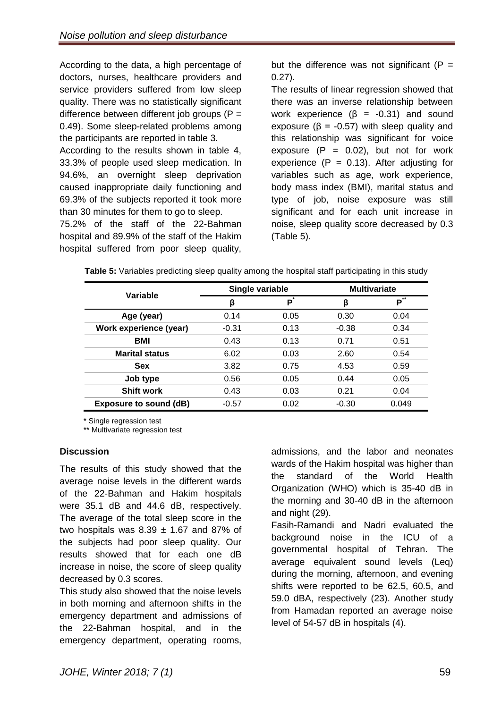According to the data, a high percentage of doctors, nurses, healthcare providers and service providers suffered from low sleep quality. There was no statistically significant difference between different job groups  $(P =$ 0.49). Some sleep-related problems among the participants are reported in table 3.

According to the results shown in table 4, 33.3% of people used sleep medication. In 94.6%, an overnight sleep deprivation caused inappropriate daily functioning and 69.3% of the subjects reported it took more than 30 minutes for them to go to sleep.

75.2% of the staff of the 22-Bahman hospital and 89.9% of the staff of the Hakim hospital suffered from poor sleep quality,

but the difference was not significant ( $P =$ 0.27).

The results of linear regression showed that there was an inverse relationship between work experience ( $β = -0.31$ ) and sound exposure ( $\beta$  = -0.57) with sleep quality and this relationship was significant for voice exposure  $(P = 0.02)$ , but not for work experience  $(P = 0.13)$ . After adjusting for variables such as age, work experience, body mass index (BMI), marital status and type of job, noise exposure was still significant and for each unit increase in noise, sleep quality score decreased by 0.3 (Table 5).

| Variable                      | Single variable |      | <b>Multivariate</b> |           |
|-------------------------------|-----------------|------|---------------------|-----------|
|                               | β               | Р    | ß                   | $**$<br>Р |
| Age (year)                    | 0.14            | 0.05 | 0.30                | 0.04      |
| Work experience (year)        | $-0.31$         | 0.13 | $-0.38$             | 0.34      |
| <b>BMI</b>                    | 0.43            | 0.13 | 0.71                | 0.51      |
| <b>Marital status</b>         | 6.02            | 0.03 | 2.60                | 0.54      |
| <b>Sex</b>                    | 3.82            | 0.75 | 4.53                | 0.59      |
| Job type                      | 0.56            | 0.05 | 0.44                | 0.05      |
| <b>Shift work</b>             | 0.43            | 0.03 | 0.21                | 0.04      |
| <b>Exposure to sound (dB)</b> | $-0.57$         | 0.02 | $-0.30$             | 0.049     |

**Table 5:** Variables predicting sleep quality among the hospital staff participating in this study

\* Single regression test

\*\* Multivariate regression test

## **Discussion**

The results of this study showed that the average noise levels in the different wards of the 22-Bahman and Hakim hospitals were 35.1 dB and 44.6 dB, respectively. The average of the total sleep score in the two hospitals was  $8.39 \pm 1.67$  and 87% of the subjects had poor sleep quality. Our results showed that for each one dB increase in noise, the score of sleep quality decreased by 0.3 scores.

This study also showed that the noise levels in both morning and afternoon shifts in the emergency department and admissions of the 22-Bahman hospital, and in the emergency department, operating rooms,

admissions, and the labor and neonates wards of the Hakim hospital was higher than the standard of the World Health Organization (WHO) which is 35-40 dB in the morning and 30-40 dB in the afternoon and night (29).

Fasih-Ramandi and Nadri evaluated the background noise in the ICU of a governmental hospital of Tehran. The average equivalent sound levels (Leq) during the morning, afternoon, and evening shifts were reported to be 62.5, 60.5, and 59.0 dBA, respectively (23). Another study from Hamadan reported an average noise level of 54-57 dB in hospitals (4).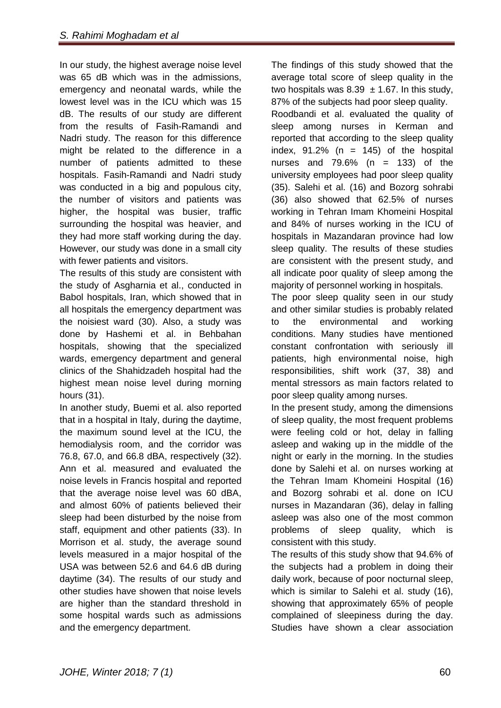In our study, the highest average noise level was 65 dB which was in the admissions, emergency and neonatal wards, while the lowest level was in the ICU which was 15 dB. The results of our study are different from the results of Fasih-Ramandi and Nadri study. The reason for this difference might be related to the difference in a number of patients admitted to these hospitals. Fasih-Ramandi and Nadri study was conducted in a big and populous city, the number of visitors and patients was higher, the hospital was busier, traffic surrounding the hospital was heavier, and they had more staff working during the day. However, our study was done in a small city with fewer patients and visitors.

The results of this study are consistent with the study of Asgharnia et al., conducted in Babol hospitals, Iran, which showed that in all hospitals the emergency department was the noisiest ward (30). Also, a study was done by Hashemi et al. in Behbahan hospitals, showing that the specialized wards, emergency department and general clinics of the Shahidzadeh hospital had the highest mean noise level during morning hours (31).

In another study, Buemi et al. also reported that in a hospital in Italy, during the daytime, the maximum sound level at the ICU, the hemodialysis room, and the corridor was 76.8, 67.0, and 66.8 dBA, respectively (32). Ann et al. measured and evaluated the noise levels in Francis hospital and reported that the average noise level was 60 dBA, and almost 60% of patients believed their sleep had been disturbed by the noise from staff, equipment and other patients (33). In Morrison et al. study, the average sound levels measured in a major hospital of the USA was between 52.6 and 64.6 dB during daytime (34). The results of our study and other studies have showen that noise levels are higher than the standard threshold in some hospital wards such as admissions and the emergency department.

The findings of this study showed that the average total score of sleep quality in the two hospitals was  $8.39 \pm 1.67$ . In this study, 87% of the subjects had poor sleep quality. Roodbandi et al. evaluated the quality of sleep among nurses in Kerman and reported that according to the sleep quality index,  $91.2\%$  (n = 145) of the hospital nurses and  $79.6\%$  (n = 133) of the university employees had poor sleep quality (35). Salehi et al. (16) and Bozorg sohrabi (36) also showed that 62.5% of nurses working in Tehran Imam Khomeini Hospital and 84% of nurses working in the ICU of hospitals in Mazandaran province had low sleep quality. The results of these studies are consistent with the present study, and all indicate poor quality of sleep among the majority of personnel working in hospitals.

The poor sleep quality seen in our study and other similar studies is probably related to the environmental and working conditions. Many studies have mentioned constant confrontation with seriously ill patients, high environmental noise, high responsibilities, shift work (37, 38) and mental stressors as main factors related to poor sleep quality among nurses.

In the present study, among the dimensions of sleep quality, the most frequent problems were feeling cold or hot, delay in falling asleep and waking up in the middle of the night or early in the morning. In the studies done by Salehi et al. on nurses working at the Tehran Imam Khomeini Hospital (16) and Bozorg sohrabi et al. done on ICU nurses in Mazandaran (36), delay in falling asleep was also one of the most common problems of sleep quality, which is consistent with this study.

The results of this study show that 94.6% of the subjects had a problem in doing their daily work, because of poor nocturnal sleep, which is similar to Salehi et al. study (16), showing that approximately 65% of people complained of sleepiness during the day. Studies have shown a clear association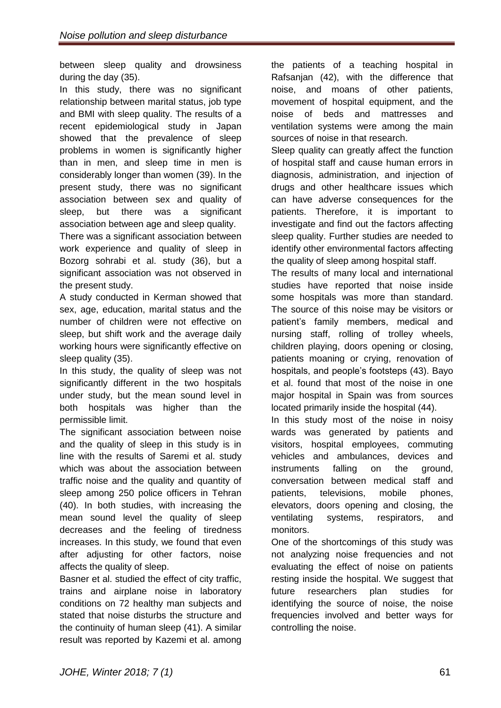between sleep quality and drowsiness during the day (35).

In this study, there was no significant relationship between marital status, job type and BMI with sleep quality. The results of a recent epidemiological study in Japan showed that the prevalence of sleep problems in women is significantly higher than in men, and sleep time in men is considerably longer than women (39). In the present study, there was no significant association between sex and quality of sleep, but there was a significant association between age and sleep quality.

There was a significant association between work experience and quality of sleep in Bozorg sohrabi et al. study (36), but a significant association was not observed in the present study.

A study conducted in Kerman showed that sex, age, education, marital status and the number of children were not effective on sleep, but shift work and the average daily working hours were significantly effective on sleep quality (35).

In this study, the quality of sleep was not significantly different in the two hospitals under study, but the mean sound level in both hospitals was higher than the permissible limit.

The significant association between noise and the quality of sleep in this study is in line with the results of Saremi et al. study which was about the association between traffic noise and the quality and quantity of sleep among 250 police officers in Tehran (40). In both studies, with increasing the mean sound level the quality of sleep decreases and the feeling of tiredness increases. In this study, we found that even after adjusting for other factors, noise affects the quality of sleep.

Basner et al. studied the effect of city traffic, trains and airplane noise in laboratory conditions on 72 healthy man subjects and stated that noise disturbs the structure and the continuity of human sleep (41). A similar result was reported by Kazemi et al. among the patients of a teaching hospital in Rafsanjan (42), with the difference that noise, and moans of other patients, movement of hospital equipment, and the noise of beds and mattresses and ventilation systems were among the main sources of noise in that research.

Sleep quality can greatly affect the function of hospital staff and cause human errors in diagnosis, administration, and injection of drugs and other healthcare issues which can have adverse consequences for the patients. Therefore, it is important to investigate and find out the factors affecting sleep quality. Further studies are needed to identify other environmental factors affecting the quality of sleep among hospital staff.

The results of many local and international studies have reported that noise inside some hospitals was more than standard. The source of this noise may be visitors or patient's family members, medical and nursing staff, rolling of trolley wheels, children playing, doors opening or closing, patients moaning or crying, renovation of hospitals, and people's footsteps (43). Bayo et al. found that most of the noise in one major hospital in Spain was from sources located primarily inside the hospital (44).

In this study most of the noise in noisy wards was generated by patients and visitors, hospital employees, commuting vehicles and ambulances, devices and instruments falling on the ground, conversation between medical staff and patients, televisions, mobile phones, elevators, doors opening and closing, the ventilating systems, respirators, and monitors.

One of the shortcomings of this study was not analyzing noise frequencies and not evaluating the effect of noise on patients resting inside the hospital. We suggest that future researchers plan studies for identifying the source of noise, the noise frequencies involved and better ways for controlling the noise.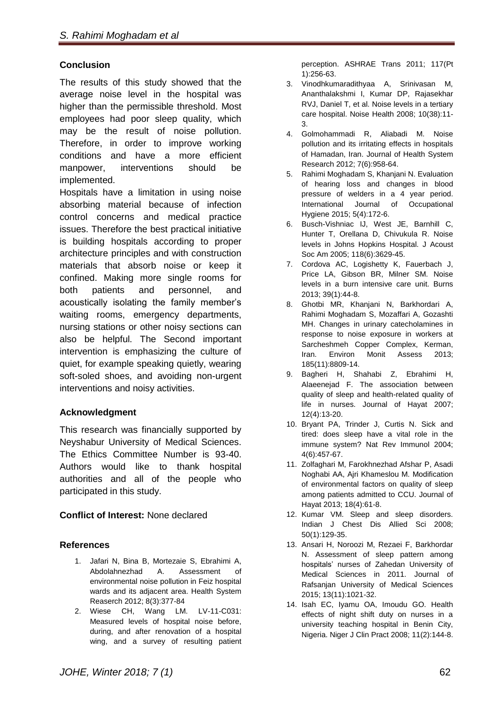#### **Conclusion**

The results of this study showed that the average noise level in the hospital was higher than the permissible threshold. Most employees had poor sleep quality, which may be the result of noise pollution. Therefore, in order to improve working conditions and have a more efficient manpower, interventions should be implemented.

Hospitals have a limitation in using noise absorbing material because of infection control concerns and medical practice issues. Therefore the best practical initiative is building hospitals according to proper architecture principles and with construction materials that absorb noise or keep it confined. Making more single rooms for both patients and personnel, and acoustically isolating the family member's waiting rooms, emergency departments, nursing stations or other noisy sections can also be helpful. The Second important intervention is emphasizing the culture of quiet, for example speaking quietly, wearing soft-soled shoes, and avoiding non-urgent interventions and noisy activities.

## **Acknowledgment**

This research was financially supported by Neyshabur University of Medical Sciences. The Ethics Committee Number is 93-40. Authors would like to thank hospital authorities and all of the people who participated in this study.

## **Conflict of Interest:** None declared

#### **References**

- 1. Jafari N, Bina B, Mortezaie S, Ebrahimi A, Abdolahnezhad A. Assessment of environmental noise pollution in Feiz hospital wards and its adjacent area. Health System Reaserch 2012; 8(3):377-84
- 2. Wiese CH, Wang LM. LV-11-C031: Measured levels of hospital noise before, during, and after renovation of a hospital wing, and a survey of resulting patient

perception. ASHRAE Trans 2011; 117(Pt 1):256-63.

- 3. Vinodhkumaradithyaa A, Srinivasan M, Ananthalakshmi I, Kumar DP, Rajasekhar RVJ, Daniel T, et al. Noise levels in a tertiary care hospital. Noise Health 2008; 10(38):11- 3.
- 4. Golmohammadi R, Aliabadi M. Noise pollution and its irritating effects in hospitals of Hamadan, Iran. Journal of Health System Research 2012; 7(6):958-64.
- 5. Rahimi Moghadam S, Khanjani N. Evaluation of hearing loss and changes in blood pressure of welders in a 4 year period. International Journal of Occupational Hygiene 2015; 5(4):172-6.
- 6. Busch-Vishniac IJ, West JE, Barnhill C, Hunter T, Orellana D, Chivukula R. Noise levels in Johns Hopkins Hospital. J Acoust Soc Am 2005; 118(6):3629-45.
- 7. Cordova AC, Logishetty K, Fauerbach J, Price LA, Gibson BR, Milner SM. Noise levels in a burn intensive care unit. Burns 2013; 39(1):44-8.
- 8. Ghotbi MR, Khanjani N, Barkhordari A, Rahimi Moghadam S, Mozaffari A, Gozashti MH. Changes in urinary catecholamines in response to noise exposure in workers at Sarcheshmeh Copper Complex, Kerman, Iran. Environ Monit Assess 2013; 185(11):8809-14.
- 9. Bagheri H, Shahabi Z, Ebrahimi H, Alaeenejad F. The association between quality of sleep and health-related quality of life in nurses. Journal of Hayat 2007; 12(4):13-20.
- 10. Bryant PA, Trinder J, Curtis N. Sick and tired: does sleep have a vital role in the immune system? Nat Rev Immunol 2004; 4(6):457-67.
- 11. Zolfaghari M, Farokhnezhad Afshar P, Asadi Noghabi AA, Ajri Khameslou M. Modification of environmental factors on quality of sleep among patients admitted to CCU. Journal of Hayat 2013; 18(4):61-8.
- 12. Kumar VM. Sleep and sleep disorders. Indian J Chest Dis Allied Sci 2008; 50(1):129-35.
- 13. Ansari H, Noroozi M, Rezaei F, Barkhordar N. Assessment of sleep pattern among hospitals' nurses of Zahedan University of Medical Sciences in 2011. Journal of Rafsanjan University of Medical Sciences 2015; 13(11):1021-32.
- 14. Isah EC, Iyamu OA, Imoudu GO. Health effects of night shift duty on nurses in a university teaching hospital in Benin City, Nigeria. Niger J Clin Pract 2008; 11(2):144-8.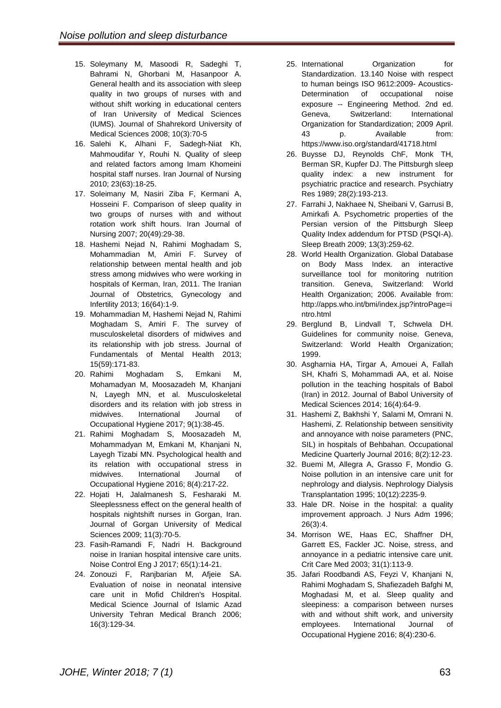- 15. Soleymany M, Masoodi R, Sadeghi T, Bahrami N, Ghorbani M, Hasanpoor A. General health and its association with sleep quality in two groups of nurses with and without shift working in educational centers of Iran University of Medical Sciences (IUMS). [Journal of Shahrekord University of](http://journal.skums.ac.ir/browse.php?mag_id=27&slc_lang=en&sid=1) Medical [Sciences 2008; 10\(3\):70-5](http://journal.skums.ac.ir/browse.php?mag_id=27&slc_lang=en&sid=1)
- 16. Salehi K, Alhani F, Sadegh-Niat Kh, Mahmoudifar Y, Rouhi N. Quality of sleep and related factors among Imam Khomeini hospital staff nurses. Iran Journal of Nursing 2010; 23(63):18-25.
- 17. Soleimany M, Nasiri Ziba F, Kermani A, Hosseini F. Comparison of sleep quality in two groups of nurses with and without rotation work shift hours. Iran Journal of Nursing 2007; 20(49):29-38.
- 18. Hashemi Nejad N, Rahimi Moghadam S, Mohammadian M, Amiri F. Survey of relationship between mental health and job stress among midwives who were working in hospitals of Kerman, Iran, 2011. The Iranian Journal of Obstetrics, Gynecology and Infertility 2013; 16(64):1-9.
- 19. Mohammadian M, Hashemi Nejad N, Rahimi Moghadam S, Amiri F. The survey of musculoskeletal disorders of midwives and its relationship with job stress. Journal of Fundamentals of Mental Health 2013; 15(59):171-83.
- 20. Rahimi Moghadam S, Emkani M, Mohamadyan M, Moosazadeh M, Khanjani N, Layegh MN, et al. Musculoskeletal disorders and its relation with job stress in midwives. International Journal of Occupational Hygiene 2017; 9(1):38-45.
- 21. Rahimi Moghadam S, Moosazadeh M, Mohammadyan M, Emkani M, Khanjani N, Layegh Tizabi MN. Psychological health and its relation with occupational stress in midwives. International Journal of Occupational Hygiene 2016; 8(4):217-22.
- 22. Hojati H, Jalalmanesh S, Fesharaki M. Sleeplessness effect on the general health of hospitals nightshift nurses in Gorgan, Iran. Journal of [Gorgan University of](https://goums.ac.ir/journal/browse.php?mag_id=30&slc_lang=en&sid=1) Medical [Sciences 2009; 11\(3\):70-5.](https://goums.ac.ir/journal/browse.php?mag_id=30&slc_lang=en&sid=1)
- 23. Fasih-Ramandi F, Nadri H. Background noise in Iranian hospital intensive care units. Noise Control Eng J 2017; 65(1):14-21.
- 24. Zonouzi F, Ranjbarian M, Afjeie SA. Evaluation of noise in neonatal intensive care unit in Mofid Children's Hospital. Medical Science Journal of Islamic Azad University Tehran Medical Branch 2006; 16(3):129-34.
- 25. International Organization for Standardization. [13.140](https://www.iso.org/ics/13.140.html) Noise with respect to human beings ISO 9612:2009- Acoustics-Determination of occupational noise exposure -- Engineering Method. 2nd ed. Geneva, Switzerland: International Organization for Standardization; 2009 April. 43 p. Available from: https://www.iso.org/standard/41718.html
- 26. Buysse DJ, Reynolds ChF, Monk TH, Berman SR, Kupfer DJ. The Pittsburgh sleep quality index: a new instrument for psychiatric practice and research. Psychiatry Res 1989; 28(2):193-213.
- 27. Farrahi J, Nakhaee N, Sheibani V, Garrusi B, Amirkafi A. Psychometric properties of the Persian version of the Pittsburgh Sleep Quality Index addendum for PTSD (PSQI-A). Sleep Breath 2009; 13(3):259-62.
- 28. World Health Organization. Global Database on Body Mass Index. an interactive surveillance tool for monitoring nutrition transition. Geneva, Switzerland: World Health Organization; 2006. Available from: http://apps.who.int/bmi/index.jsp?introPage=i ntro.html
- 29. Berglund B, Lindvall T, Schwela DH. Guidelines for community noise. Geneva, Switzerland: World Health Organization; 1999.
- 30. Asgharnia HA, Tirgar A, Amouei A, Fallah SH, Khafri S, Mohammadi AA, et al. Noise pollution in the teaching hospitals of Babol (Iran) in 2012. Journal of Babol University of Medical Sciences 2014; 16(4):64-9.
- 31. Hashemi Z, Bakhshi Y, Salami M, Omrani N. Hashemi, Z. Relationship between sensitivity and annoyance with noise parameters (PNC, SIL) in hospitals of Behbahan. Occupational Medicine Quarterly Journal 2016; 8(2):12-23.
- 32. Buemi M, Allegra A, Grasso F, Mondio G. Noise pollution in an intensive care unit for nephrology and dialysis. Nephrology Dialysis Transplantation 1995; 10(12):2235-9.
- 33. Hale DR. Noise in the hospital: a quality improvement approach. J Nurs Adm 1996; 26(3):4.
- 34. Morrison WE, Haas EC, Shaffner DH, Garrett ES, Fackler JC. Noise, stress, and annoyance in a pediatric intensive care unit. Crit Care Med 2003; 31(1):113-9.
- 35. Jafari Roodbandi AS, Feyzi V, Khanjani N, Rahimi Moghadam S, Shafiezadeh Bafghi M, Moghadasi M, et al. Sleep quality and sleepiness: a comparison between nurses with and without shift work, and university employees. International Journal of Occupational Hygiene 2016; 8(4):230-6.